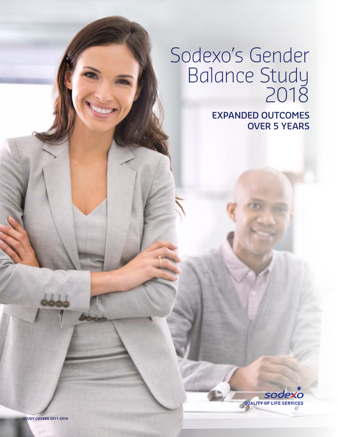# Sodexo's Gender Balance Study 2018

**EXPANDED OUTCOMES OVER 5 YEARS**



**STUDY COVERS 2011-2016**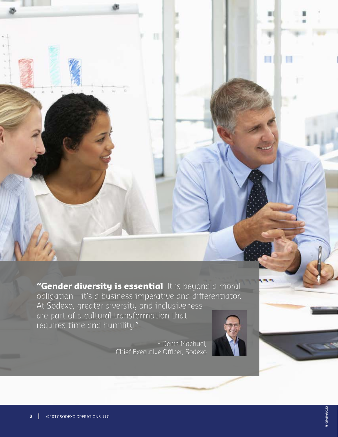**"Gender diversity is essential**. It is beyond a moral obligation—it's a business imperative and differentiator. At Sodexo, greater diversity and inclusiveness are part of a cultural transformation that requires time and humility."

> - Denis Machuel, Chief Executive Officer, Sodexo

w



П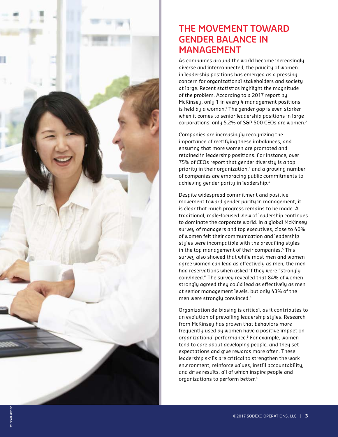

#### **THE MOVEMENT TOWARD GENDER BALANCE IN MANAGEMENT**

As companies around the world become increasingly diverse and interconnected, the paucity of women in leadership positions has emerged as a pressing concern for organizational stakeholders and society at large. Recent statistics highlight the magnitude of the problem. According to a 2017 report by McKinsey, only 1 in every 4 management positions is held by a woman. $1$  The gender gap is even starker when it comes to senior leadership positions in large corporations: only 5.2% of S&P 500 CEOs are women.<sup>2</sup>

Companies are increasingly recognizing the importance of rectifying these imbalances, and ensuring that more women are promoted and retained in leadership positions. For instance, over 75% of CEOs report that gender diversity is a top priority in their organization,<sup>3</sup> and a growing number of companies are embracing public commitments to achieving gender parity in leadership.<sup>4</sup>

Despite widespread commitment and positive movement toward gender parity in management, it is clear that much progress remains to be made. A traditional, male-focused view of leadership continues to dominate the corporate world. In a global McKinsey survey of managers and top executives, close to 40% of women felt their communication and leadership styles were incompatible with the prevailing styles in the top management of their companies.<sup>5</sup> This survey also showed that while most men and women agree women can lead as effectively as men, the men had reservations when asked if they were "strongly convinced." The survey revealed that 84% of women strongly agreed they could lead as effectively as men at senior management levels, but only 43% of the men were strongly convinced.5

Organization de-biasing is critical, as it contributes to an evolution of prevailing leadership styles. Research from McKinsey has proven that behaviors more frequently used by women have a positive impact on organizational performance.6 For example, women tend to care about developing people, and they set expectations and give rewards more often. These leadership skills are critical to strengthen the work environment, reinforce values, instill accountability, and drive results, all of which inspire people and organizations to perform better.<sup>6</sup>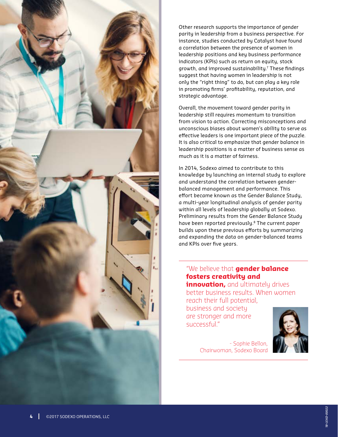

Other research supports the importance of gender parity in leadership from a business perspective. For instance, studies conducted by Catalyst have found a correlation between the presence of women in leadership positions and key business performance indicators (KPIs) such as return on equity, stock growth, and improved sustainability.7 These findings suggest that having women in leadership is not only the "right thing" to do, but can play a key role in promoting firms' profitability, reputation, and strategic advantage.

Overall, the movement toward gender parity in leadership still requires momentum to transition from vision to action. Correcting misconceptions and unconscious biases about women's ability to serve as effective leaders is one important piece of the puzzle. It is also critical to emphasize that gender balance in leadership positions is a matter of business sense as much as it is a matter of fairness.

In 2014, Sodexo aimed to contribute to this knowledge by launching an internal study to explore and understand the correlation between genderbalanced management and performance. This effort became known as the Gender Balance Study, a multi-year longitudinal analysis of gender parity within all levels of leadership globally at Sodexo. Preliminary results from the Gender Balance Study have been reported previously.<sup>8</sup> The current paper builds upon these previous efforts by summarizing and expanding the data on gender-balanced teams and KPIs over five years.

#### "We believe that **gender balance fosters creativity and**

**innovation,** and ultimately drives better business results. When women reach their full potential,

business and society are stronger and more successful."



- Sophie Bellon, Chairwoman, Sodexo Board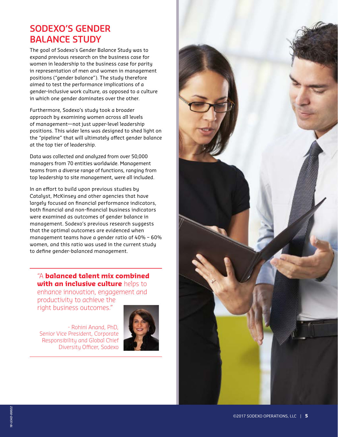## **SODEXO'S GENDER BALANCE STUDY**

The goal of Sodexo's Gender Balance Study was to expand previous research on the business case for women in leadership to the business case for parity in representation of men and women in management positions ("gender balance"). The study therefore aimed to test the performance implications of a gender-inclusive work culture, as opposed to a culture in which one gender dominates over the other.

Furthermore, Sodexo's study took a broader approach by examining women across all levels of management—not just upper-level leadership positions. This wider lens was designed to shed light on the "pipeline" that will ultimately affect gender balance at the top tier of leadership.

Data was collected and analyzed from over 50,000 managers from 70 entities worldwide. Management teams from a diverse range of functions, ranging from top leadership to site management, were all included.

In an effort to build upon previous studies by Catalyst, McKinsey and other agencies that have largely focused on financial performance indicators, both financial and non-financial business indicators were examined as outcomes of gender balance in management. Sodexo's previous research suggests that the optimal outcomes are evidenced when management teams have a gender ratio of 40% – 60% women, and this ratio was used in the current study to define gender-balanced management.

"A **balanced talent mix combined with an inclusive culture** helps to enhance innovation, engagement and productivity to achieve the

right business outcomes."

- Rohini Anand, PhD, Senior Vice President, Corporate Responsibility and Global Chief Diversity Officer, Sodexo



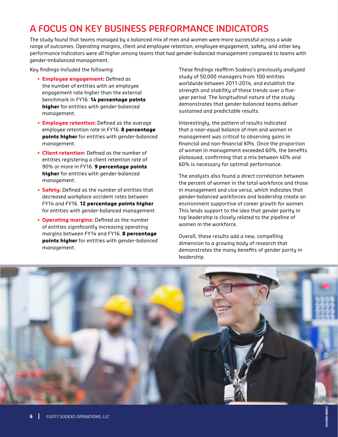# **A FOCUS ON KEY BUSINESS PERFORMANCE INDICATORS**

The study found that teams managed by a balanced mix of men and women were more successful across a wide range of outcomes. Operating margins, client and employee retention, employee engagement, safety, and other key performance indicators were all higher among teams that had gender-balanced management compared to teams with gender-imbalanced management.

Key findings included the following:

- § **Employee engagement:** Defined as the number of entities with an employee engagement rate higher than the external benchmark in FY16. **14 percentage points higher** for entities with gender-balanced management.
- **Employee retention:** Defined as the average employee retention rate in FY16. **8 percentage points higher** for entities with gender-balanced management.
- § **Client retention:** Defined as the number of entities registering a client retention rate of 90% or more in FY16. **9 percentage points higher** for entities with gender-balanced management.
- **Safety:** Defined as the number of entities that decreased workplace accident rates between FY14 and FY16. **12 percentage points higher** for entities with gender-balanced management.
- § **Operating margins:** Defined as the number of entities significantly increasing operating margins between FY14 and FY16. **8 percentage points higher** for entities with gender-balanced management.

These findings reaffirm Sodexo's previously analyzed study of 50,000 managers from 100 entities worldwide between 2011-2014, and establish the strength and stability of these trends over a fiveyear period. The longitudinal nature of the study demonstrates that gender-balanced teams deliver sustained and predictable results.

Interestingly, the pattern of results indicated that a near-equal balance of men and women in management was critical to observing gains in financial and non-financial KPIs. Once the proportion of women in management exceeded 60%, the benefits plateaued, confirming that a mix between 40% and 60% is necessary for optimal performance.

The analysts also found a direct correlation between the percent of women in the total workforce and those in management and vice versa, which indicates that gender-balanced workforces and leadership create an environment supportive of career growth for women. This lends support to the idea that gender parity in top leadership is closely related to the pipeline of women in the workforce.

Overall, these results add a new, compelling dimension to a growing body of research that demonstrates the many benefits of gender parity in leadership.

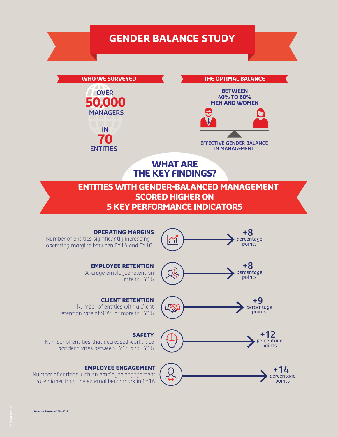# **GENDER BALANCE STUDY**

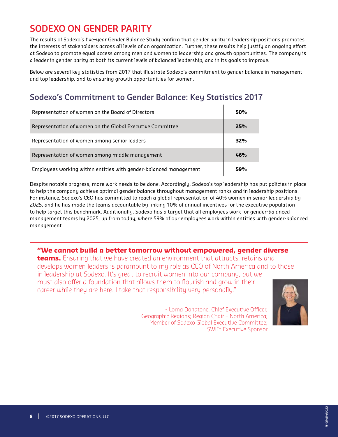# **SODEXO ON GENDER PARITY**

The results of Sodexo's five-year Gender Balance Study confirm that gender parity in leadership positions promotes the interests of stakeholders across all levels of an organization. Further, these results help justify an ongoing effort at Sodexo to promote equal access among men and women to leadership and growth opportunities. The company is a leader in gender parity at both its current levels of balanced leadership, and in its goals to improve.

Below are several key statistics from 2017 that illustrate Sodexo's commitment to gender balance in management and top leadership, and to ensuring growth opportunities for women.

#### **Sodexo's Commitment to Gender Balance: Key Statistics 2017**

| Representation of women on the Board of Directors                 | 50% |
|-------------------------------------------------------------------|-----|
| Representation of women on the Global Executive Committee         | 25% |
| Representation of women among senior leaders                      | 32% |
| Representation of women among middle management                   | 46% |
| Employees working within entities with gender-balanced management | 59% |

Despite notable progress, more work needs to be done. Accordingly, Sodexo's top leadership has put policies in place to help the company achieve optimal gender balance throughout management ranks and in leadership positions. For instance, Sodexo's CEO has committed to reach a global representation of 40% women in senior leadership by 2025, and he has made the teams accountable by linking 10% of annual incentives for the executive population to help target this benchmark. Additionally, Sodexo has a target that all employees work for gender-balanced management teams by 2025, up from today, where 59% of our employees work within entities with gender-balanced management.

**"We cannot build a better tomorrow without empowered, gender diverse teams.** Ensuring that we have created an environment that attracts, retains and develops women leaders is paramount to my role as CEO of North America and to those in leadership at Sodexo. It's great to recruit women into our company, but we must also offer a foundation that allows them to flourish and grow in their career while they are here. I take that responsibility very personally."

> - Lorna Donatone, Chief Executive Officer, Geographic Regions; Region Chair – North America; Member of Sodexo Global Executive Committee; SWIFt Executive Sponsor

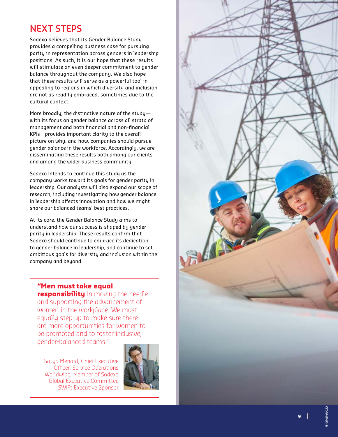## **NEXT STEPS**

Sodexo believes that its Gender Balance Study provides a compelling business case for pursuing parity in representation across genders in leadership positions. As such, it is our hope that these results will stimulate an even deeper commitment to gender balance throughout the company. We also hope that these results will serve as a powerful tool in appealing to regions in which diversity and inclusion are not as readily embraced, sometimes due to the cultural context.

More broadly, the distinctive nature of the study with its focus on gender balance across all strata of management and both financial and non-financial KPIs—provides important clarity to the overall picture on why, and how, companies should pursue gender balance in the workforce. Accordingly, we are disseminating these results both among our clients and among the wider business community.

Sodexo intends to continue this study as the company works toward its goals for gender parity in leadership. Our analysts will also expand our scope of research, including investigating how gender balance in leadership affects innovation and how we might share our balanced teams' best practices.

At its core, the Gender Balance Study aims to understand how our success is shaped by gender parity in leadership. These results confirm that Sodexo should continue to embrace its dedication to gender balance in leadership, and continue to set ambitious goals for diversity and inclusion within the company and beyond.

**"Men must take equal responsibility** in moving the needle and supporting the advancement of women in the workplace. We must equally step up to make sure there are more opportunities for women to be promoted and to foster inclusive, gender-balanced teams."

- Satya Menard, Chief Executive Officer, Service Operations Worldwide; Member of Sodexo Global Executive Committee SWIFt Executive Sponsor



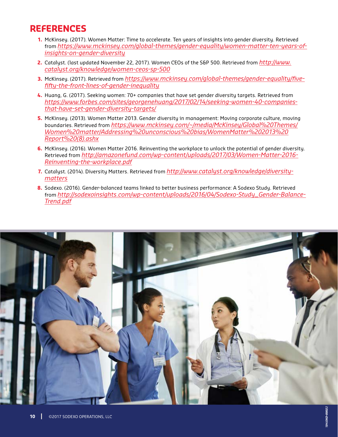## **REFERENCES**

- **1.** McKinsey. (2017). Women Matter: Time to accelerate. Ten years of insights into gender diversity. Retrieved from *https://www.mckinsey.com/global-themes/gender-equality/women-matter-ten-years-ofinsights-on-gender-diversity*
- **2.** Catalyst. (last updated November 22, 2017). Women CEOs of the S&P 500. Retrieved from *http://www. catalyst.org/knowledge/women-ceos-sp-500*
- **3.** McKinsey. (2017). Retrieved from *https://www.mckinsey.com/global-themes/gender-equality/fivefifty-the-front-lines-of-gender-inequality*
- **4.** Huang, G. (2017). Seeking women: 70+ companies that have set gender diversity targets. Retrieved from *https://www.forbes.com/sites/georgenehuang/2017/02/14/seeking-women-40-companiesthat-have-set-gender-diversity-targets/*
- **5.** McKinsey. (2013). Women Matter 2013. Gender diversity in management: Moving corporate culture, moving boundaries. Retrieved from *https://www.mckinsey.com/~/media/McKinsey/Global%20Themes/ Women%20matter/Addressing%20unconscious%20bias/WomenMatter%202013%20 Report%20(8).ashx*
- **6.** McKinsey. (2016). Women Matter 2016. Reinventing the workplace to unlock the potential of gender diversity. Retrieved from *http://amazonefund.com/wp-content/uploads/2017/03/Women-Matter-2016- Reinventing-the-workplace.pdf*
- **7.** Catalyst. (2014). Diversity Matters. Retrieved from *http://www.catalyst.org/knowledge/diversitymatters*
- **8.** Sodexo. (2016). Gender-balanced teams linked to better business performance: A Sodexo Study. Retrieved from *http://sodexoinsights.com/wp-content/uploads/2016/04/Sodexo-Study\_Gender-Balance-Trend.pdf*

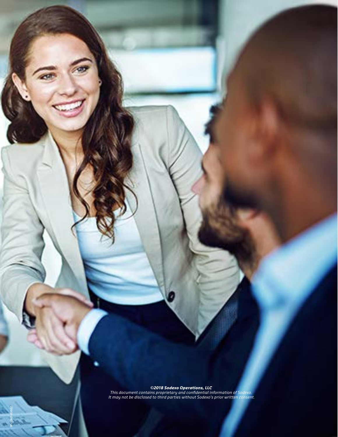*©2018 Sodexo Operations, LLC*

*This document contains proprietary and confidential information of Sodexo. It may not be disclosed to third parties without Sodexo's prior written consent.*

*18-LEAD-00022*